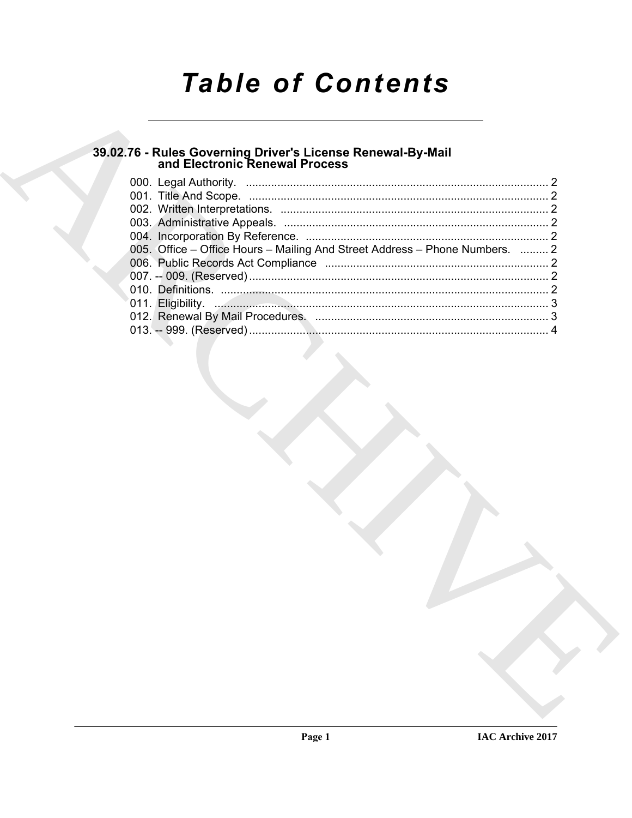# **Table of Contents**

## 39.02.76 - Rules Governing Driver's License Renewal-By-Mail<br>and Electronic Renewal Process

| 005. Office – Office Hours – Mailing And Street Address – Phone Numbers.  2 |  |
|-----------------------------------------------------------------------------|--|
|                                                                             |  |
|                                                                             |  |
|                                                                             |  |
|                                                                             |  |
|                                                                             |  |
|                                                                             |  |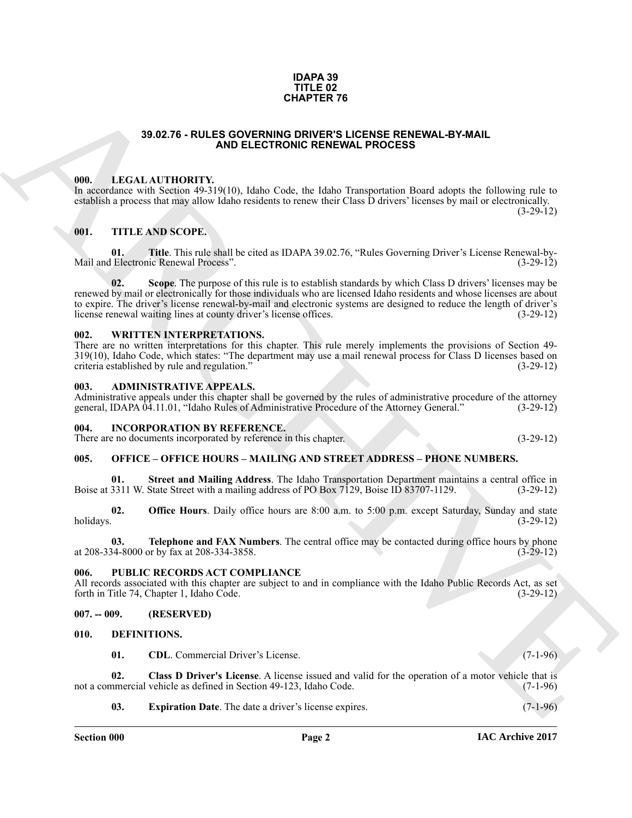#### **IDAPA 39 TITLE 02 CHAPTER 76**

#### **39.02.76 - RULES GOVERNING DRIVER'S LICENSE RENEWAL-BY-MAIL AND ELECTRONIC RENEWAL PROCESS**

#### <span id="page-1-1"></span><span id="page-1-0"></span>**000. LEGAL AUTHORITY.**

In accordance with Section 49-319(10), Idaho Code, the Idaho Transportation Board adopts the following rule to establish a process that may allow Idaho residents to renew their Class D drivers' licenses by mail or electronically.  $(3-29-12)$ 

#### <span id="page-1-2"></span>**001. TITLE AND SCOPE.**

**01. Title**. This rule shall be cited as IDAPA 39.02.76, "Rules Governing Driver's License Renewal-by-<br>Electronic Renewal Process". (3-29-12) Mail and Electronic Renewal Process".

39.62.75 - ROLES GOVERNMA CHOICHES FEVENAL-BY-MAL<br>
1990. IECAL AUTHORITY NATO Habe Coles the balled Transportation Touris also the following rule in<br>
contain process for the ARCHIVE VISTO Jake Coles the field of Democrati **02. Scope**. The purpose of this rule is to establish standards by which Class D drivers' licenses may be renewed by mail or electronically for those individuals who are licensed Idaho residents and whose licenses are about to expire. The driver's license renewal-by-mail and electronic systems are designed to reduce the length of driver's license renewal waiting lines at county driver's license offices. (3-29-12) license renewal waiting lines at county driver's license offices.

#### <span id="page-1-3"></span>**002. WRITTEN INTERPRETATIONS.**

There are no written interpretations for this chapter. This rule merely implements the provisions of Section 49- 319(10), Idaho Code, which states: "The department may use a mail renewal process for Class D licenses based on criteria established by rule and regulation." (3-29-12) criteria established by rule and regulation."

#### <span id="page-1-4"></span>**003. ADMINISTRATIVE APPEALS.**

Administrative appeals under this chapter shall be governed by the rules of administrative procedure of the attorney general. IDAPA 04.11.01. "Idaho Rules of Administrative Procedure of the Attorney General." (3-29-12) general, IDAPA 04.11.01, "Idaho Rules of Administrative Procedure of the Attorney General."

#### <span id="page-1-5"></span>**004. INCORPORATION BY REFERENCE.**

There are no documents incorporated by reference in this chapter. (3-29-12)

#### <span id="page-1-6"></span>**005. OFFICE – OFFICE HOURS – MAILING AND STREET ADDRESS – PHONE NUMBERS.**

**Street and Mailing Address**. The Idaho Transportation Department maintains a central office in Boise at 3311 W. State Street with a mailing address of PO Box 7129, Boise ID 83707-1129. (3-29-12)

**02. Office Hours**. Daily office hours are 8:00 a.m. to 5:00 p.m. except Saturday, Sunday and state holidays. (3-29-12) holidays. (3-29-12)

**03. Telephone and FAX Numbers**. The central office may be contacted during office hours by phone 34-8000 or by fax at 208-334-3858. at 208-334-8000 or by fax at 208-334-3858.

#### <span id="page-1-7"></span>**006. PUBLIC RECORDS ACT COMPLIANCE**

All records associated with this chapter are subject to and in compliance with the Idaho Public Records Act, as set forth in Title 74, Chapter 1, Idaho Code. (3-29-12) forth in Title 74, Chapter 1, Idaho Code.

#### <span id="page-1-8"></span>**007. -- 009. (RESERVED)**

#### <span id="page-1-9"></span>**010. DEFINITIONS.**

<span id="page-1-12"></span><span id="page-1-11"></span><span id="page-1-10"></span>**01. CDL**. Commercial Driver's License. (7-1-96)

**02.** Class D Driver's License. A license issued and valid for the operation of a motor vehicle that is numercial vehicle as defined in Section 49-123, Idaho Code. (7-1-96) not a commercial vehicle as defined in Section 49-123, Idaho Code.

<span id="page-1-13"></span>**03. Expiration Date**. The date a driver's license expires. (7-1-96)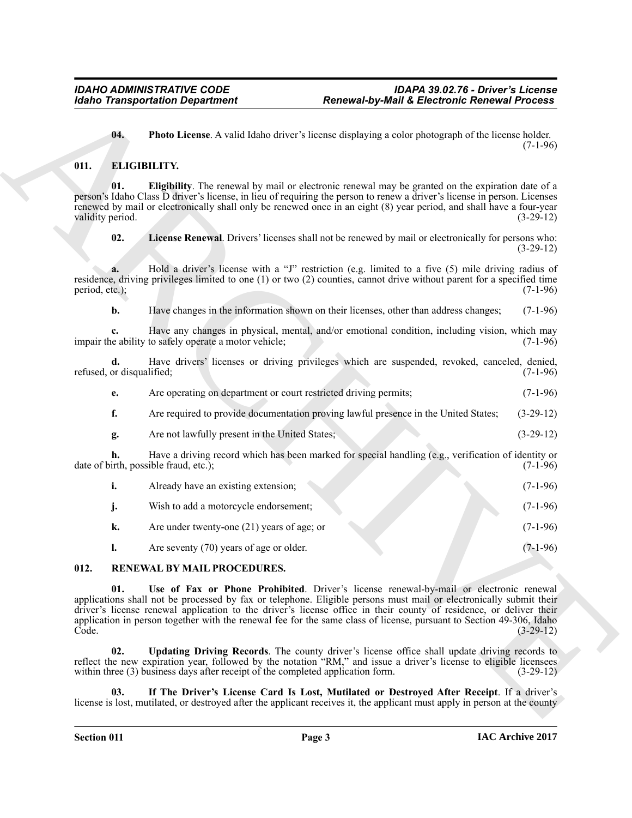<span id="page-2-3"></span><span id="page-2-2"></span>**04. Photo License**. A valid Idaho driver's license displaying a color photograph of the license holder.  $(7-1-96)$ 

#### <span id="page-2-0"></span>**011. ELIGIBILITY.**

**01. Eligibility**. The renewal by mail or electronic renewal may be granted on the expiration date of a person's Idaho Class D driver's license, in lieu of requiring the person to renew a driver's license in person. Licenses renewed by mail or electronically shall only be renewed once in an eight (8) year period, and shall have a four-year validity period. (3-29-12)

<span id="page-2-4"></span>**02. License Renewal**. Drivers' licenses shall not be renewed by mail or electronically for persons who: (3-29-12)

**a.** Hold a driver's license with a "J" restriction (e.g. limited to a five (5) mile driving radius of residence, driving privileges limited to one (1) or two (2) counties, cannot drive without parent for a specified time period, etc.); (7-1-96) period, etc.);

**b.** Have changes in the information shown on their licenses, other than address changes; (7-1-96)

**c.** Have any changes in physical, mental, and/or emotional condition, including vision, which may e ability to safely operate a motor vehicle: (7-1-96) impair the ability to safely operate a motor vehicle;

**d.** Have drivers' licenses or driving privileges which are suspended, revoked, canceled, denied, refused, or disqualified; (7-1-96)

**e.** Are operating on department or court restricted driving permits; (7-1-96)

**f.** Are required to provide documentation proving lawful presence in the United States; (3-29-12)

**g.** Are not lawfully present in the United States; (3-29-12)

**h.** Have a driving record which has been marked for special handling (e.g., verification of identity or date of birth, possible fraud, etc.); (7-1-96)

|  | Already have an existing extension; |  |  |  |  | $(7-1-96)$ |
|--|-------------------------------------|--|--|--|--|------------|
|--|-------------------------------------|--|--|--|--|------------|

- **j.** Wish to add a motorcycle endorsement; (7-1-96)
- **k.** Are under twenty-one (21) years of age; or (7-1-96)
- <span id="page-2-8"></span><span id="page-2-5"></span>**l.** Are seventy (70) years of age or older. (7-1-96)

### <span id="page-2-1"></span>**012. RENEWAL BY MAIL PROCEDURES.**

Reaches Transportation Department<br>
16. These License. A valid labor since the second deplete and color product Remove in the second dependent<br>
16. Electronic March 19. The matter of the second second and the second of the **01. Use of Fax or Phone Prohibited**. Driver's license renewal-by-mail or electronic renewal applications shall not be processed by fax or telephone. Eligible persons must mail or electronically submit their driver's license renewal application to the driver's license office in their county of residence, or deliver their application in person together with the renewal fee for the same class of license, pursuant to Section 49-306, Idaho<br>(3-29-12) Code. (3-29-12)

<span id="page-2-7"></span>**02. Updating Driving Records**. The county driver's license office shall update driving records to reflect the new expiration year, followed by the notation "RM," and issue a driver's license to eligible licensees within three (3) business days after receipt of the completed application form. (3-29-12)

<span id="page-2-6"></span>**03. If The Driver's License Card Is Lost, Mutilated or Destroyed After Receipt**. If a driver's license is lost, mutilated, or destroyed after the applicant receives it, the applicant must apply in person at the county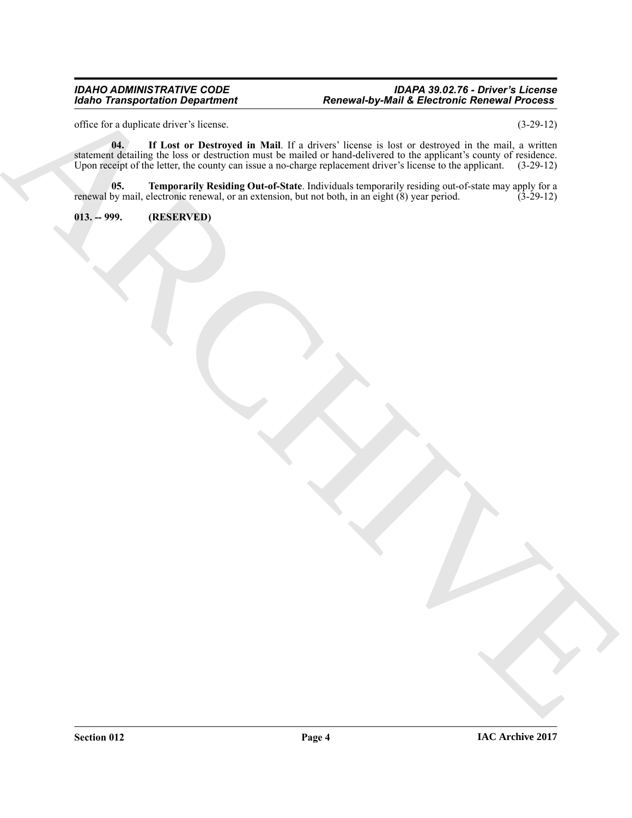#### *IDAHO ADMINISTRATIVE CODE IDAPA 39.02.76 - Driver's License Idaho Transportation Department Renewal-by-Mail & Electronic Renewal Process*

<span id="page-3-1"></span>office for a duplicate driver's license. (3-29-12)

Maria Taiwaya histori Penandel II. Marcus Leon al Marcus Leon al Marcus Leon al Marcus Leon al Marcus Leon al<br>Archives de la Galille de la Galille de la Galille de la Galille de la Galille de la Galille de la Galille de<br>Ma **04. If Lost or Destroyed in Mail**. If a drivers' license is lost or destroyed in the mail, a written statement detailing the loss or destruction must be mailed or hand-delivered to the applicant's county of residence. Upon receipt of the letter, the county can issue a no-charge replacement driver's license to the applicant. (3-29-12)

<span id="page-3-2"></span>**05. Temporarily Residing Out-of-State**. Individuals temporarily residing out-of-state may apply for a by mail, electronic renewal, or an extension, but not both, in an eight (8) year period. (3-29-12) renewal by mail, electronic renewal, or an extension, but not both, in an eight (8) year period.

<span id="page-3-0"></span>**013. -- 999. (RESERVED)**